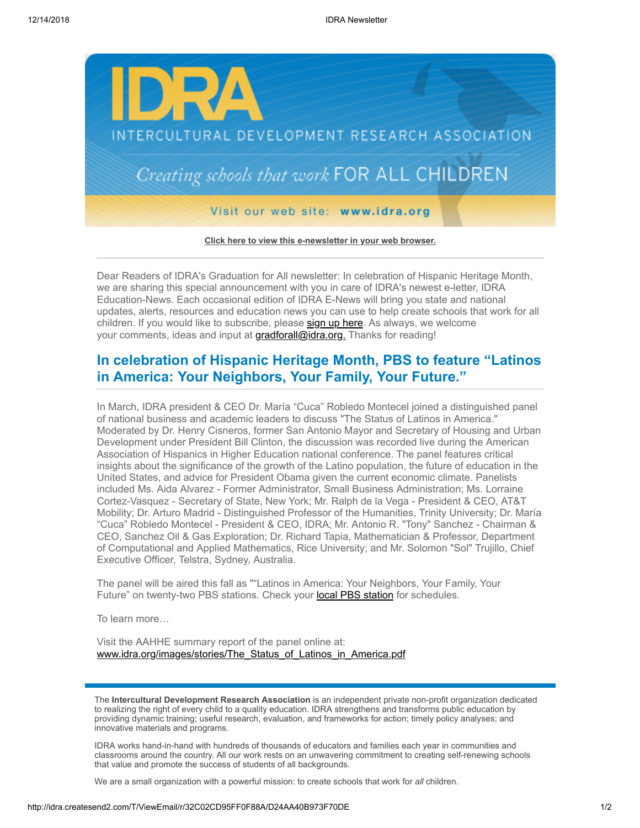

**[Click here to view this e-newsletter in your web browser.](http://idra.createsend1.com/t/r/e/dkhkku/uyyhtlr/)**

Dear Readers of IDRA's Graduation for All newsletter: In celebration of Hispanic Heritage Month, we are sharing this special announcement with you in care of IDRA's newest e-letter, IDRA Education-News. Each occasional edition of IDRA E-News will bring you state and national updates, alerts, resources and education news you can use to help create schools that work for all children. If you would like to subscribe, please [sign up here.](http://idra.createsend1.com/t/r/l/dkhkku/uyyhtlr/y) As always, we welcome your comments, ideas and input at [gradforall@idra.org.](mailto:gradforall@idra.org) Thanks for reading!

## **In celebration of Hispanic Heritage Month, PBS to feature "Latinos in America: Your Neighbors, Your Family, Your Future."**

In March, IDRA president & CEO Dr. María "Cuca" Robledo Montecel joined a distinguished panel of national business and academic leaders to discuss "The Status of Latinos in America." Moderated by Dr. Henry Cisneros, former San Antonio Mayor and Secretary of Housing and Urban Development under President Bill Clinton, the discussion was recorded live during the American Association of Hispanics in Higher Education national conference. The panel features critical insights about the significance of the growth of the Latino population, the future of education in the United States, and advice for President Obama given the current economic climate. Panelists included Ms. Aida Alvarez - Former Administrator, Small Business Administration; Ms. Lorraine Cortez-Vasquez - Secretary of State, New York; Mr. Ralph de la Vega - President & CEO, AT&T Mobility; Dr. Arturo Madrid - Distinguished Professor of the Humanities, Trinity University; Dr. María "Cuca" Robledo Montecel - President & CEO, IDRA; Mr. Antonio R. "Tony" Sanchez - Chairman & CEO, Sanchez Oil & Gas Exploration; Dr. Richard Tapia, Mathematician & Professor, Department of Computational and Applied Mathematics, Rice University; and Mr. Solomon "Sol" Trujillo, Chief Executive Officer, Telstra, Sydney, Australia.

The panel will be aired this fall as ""Latinos in America: Your Neighbors, Your Family, Your Future" on twenty-two PBS stations. Check your **local PBS station** for schedules.

To learn more…

Visit the AAHHE summary report of the panel online at: [www.idra.org/images/stories/The\\_Status\\_of\\_Latinos\\_in\\_America.pdf](http://idra.createsend1.com/t/r/l/dkhkku/uyyhtlr/t)

The **Intercultural Development Research Association** is an independent private non-profit organization dedicated to realizing the right of every child to a quality education. IDRA strengthens and transforms public education by providing dynamic training; useful research, evaluation, and frameworks for action; timely policy analyses; and innovative materials and programs.

IDRA works hand-in-hand with hundreds of thousands of educators and families each year in communities and classrooms around the country. All our work rests on an unwavering commitment to creating self-renewing schools that value and promote the success of students of all backgrounds.

We are a small organization with a powerful mission: to create schools that work for *all* children.